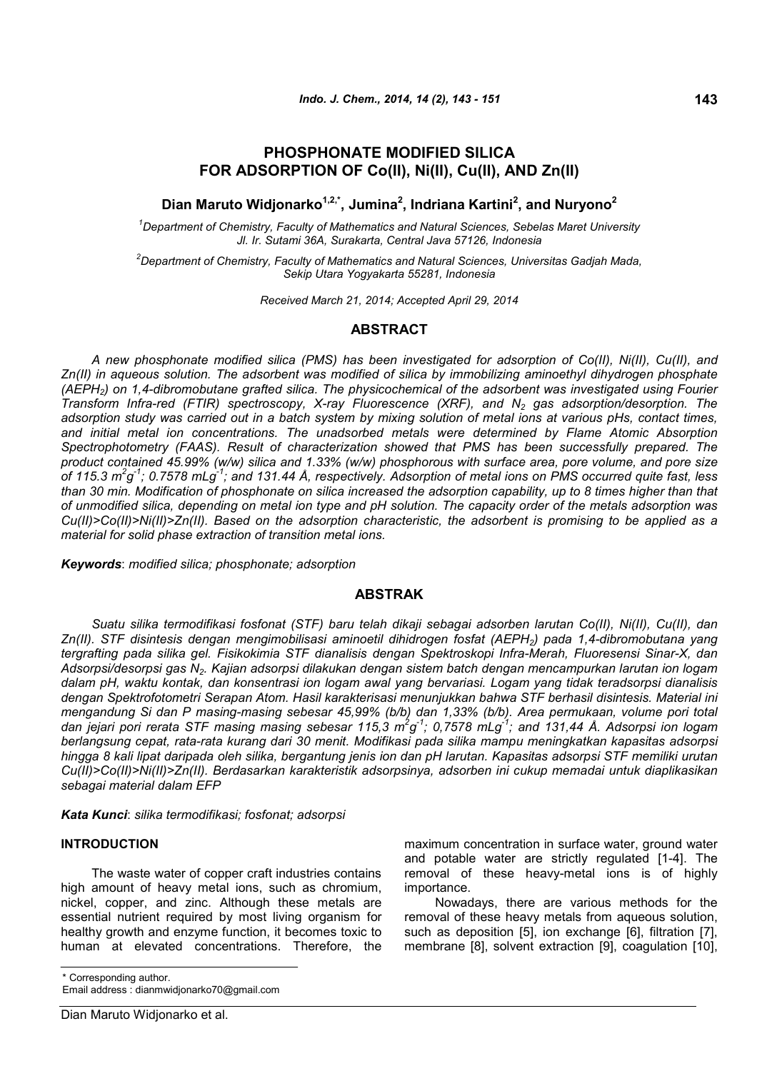# **PHOSPHONATE MODIFIED SILICA FOR ADSORPTION OF Co(II), Ni(II), Cu(II), AND Zn(II)**

**Dian Maruto Widjonarko1,2,\*, Jumina<sup>2</sup> , Indriana Kartini<sup>2</sup> , and Nuryono<sup>2</sup>**

*<sup>1</sup>Department of Chemistry, Faculty of Mathematics and Natural Sciences, Sebelas Maret University Jl. Ir. Sutami 36A, Surakarta, Central Java 57126, Indonesia*

*<sup>2</sup>Department of Chemistry, Faculty of Mathematics and Natural Sciences, Universitas Gadjah Mada, Sekip Utara Yogyakarta 55281, Indonesia*

*Received March 21, 2014; Accepted April 29, 2014*

## **ABSTRACT**

*A new phosphonate modified silica (PMS) has been investigated for adsorption of Co(II), Ni(II), Cu(II), and Zn(II) in aqueous solution. The adsorbent was modified of silica by immobilizing aminoethyl dihydrogen phosphate (AEPH2) on 1,4-dibromobutane grafted silica. The physicochemical of the adsorbent was investigated using Fourier Transform Infra-red (FTIR) spectroscopy, X-ray Fluorescence (XRF), and N<sup>2</sup> gas adsorption/desorption. The adsorption study was carried out in a batch system by mixing solution of metal ions at various pHs, contact times, and initial metal ion concentrations. The unadsorbed metals were determined by Flame Atomic Absorption Spectrophotometry (FAAS). Result of characterization showed that PMS has been successfully prepared. The product contained 45.99% (w/w) silica and 1.33% (w/w) phosphorous with surface area, pore volume, and pore size of 115.3 m<sup>2</sup> g -1; 0.7578 mLg-1; and 131.44 Å, respectively. Adsorption of metal ions on PMS occurred quite fast, less than 30 min. Modification of phosphonate on silica increased the adsorption capability, up to 8 times higher than that of unmodified silica, depending on metal ion type and pH solution. The capacity order of the metals adsorption was Cu(II)>Co(II)>Ni(II)>Zn(II). Based on the adsorption characteristic, the adsorbent is promising to be applied as a material for solid phase extraction of transition metal ions.*

*Keywords*: *modified silica; phosphonate; adsorption*

## **ABSTRAK**

*Suatu silika termodifikasi fosfonat (STF) baru telah dikaji sebagai adsorben larutan Co(II), Ni(II), Cu(II), dan Zn(II). STF disintesis dengan mengimobilisasi aminoetil dihidrogen fosfat (AEPH2) pada 1,4-dibromobutana yang tergrafting pada silika gel. Fisikokimia STF dianalisis dengan Spektroskopi Infra-Merah, Fluoresensi Sinar-X, dan Adsorpsi/desorpsi gas N2. Kajian adsorpsi dilakukan dengan sistem batch dengan mencampurkan larutan ion logam dalam pH, waktu kontak, dan konsentrasi ion logam awal yang bervariasi. Logam yang tidak teradsorpsi dianalisis dengan Spektrofotometri Serapan Atom. Hasil karakterisasi menunjukkan bahwa STF berhasil disintesis. Material ini mengandung Si dan P masing-masing sebesar 45,99% (b/b) dan 1,33% (b/b). Area permukaan, volume pori total dan jejari pori rerata STF masing masing sebesar 115,3 m<sup>2</sup> g -1; 0,7578 mLg-1; and 131,44 Å. Adsorpsi ion logam berlangsung cepat, rata-rata kurang dari 30 menit. Modifikasi pada silika mampu meningkatkan kapasitas adsorpsi hingga 8 kali lipat daripada oleh silika, bergantung jenis ion dan pH larutan. Kapasitas adsorpsi STF memiliki urutan Cu(II)>Co(II)>Ni(II)>Zn(II). Berdasarkan karakteristik adsorpsinya, adsorben ini cukup memadai untuk diaplikasikan sebagai material dalam EFP*

*Kata Kunci*: *silika termodifikasi; fosfonat; adsorpsi*

### **INTRODUCTION**

The waste water of copper craft industries contains high amount of heavy metal ions, such as chromium, nickel, copper, and zinc. Although these metals are essential nutrient required by most living organism for healthy growth and enzyme function, it becomes toxic to human at elevated concentrations. Therefore, the

\* Corresponding author.

Email address : dianmwidjonarko70@gmail.com

maximum concentration in surface water, ground water and potable water are strictly regulated [1-4]. The removal of these heavy-metal ions is of highly importance.

Nowadays, there are various methods for the removal of these heavy metals from aqueous solution, such as deposition [5], ion exchange [6], filtration [7], membrane [8], solvent extraction [9], coagulation [10],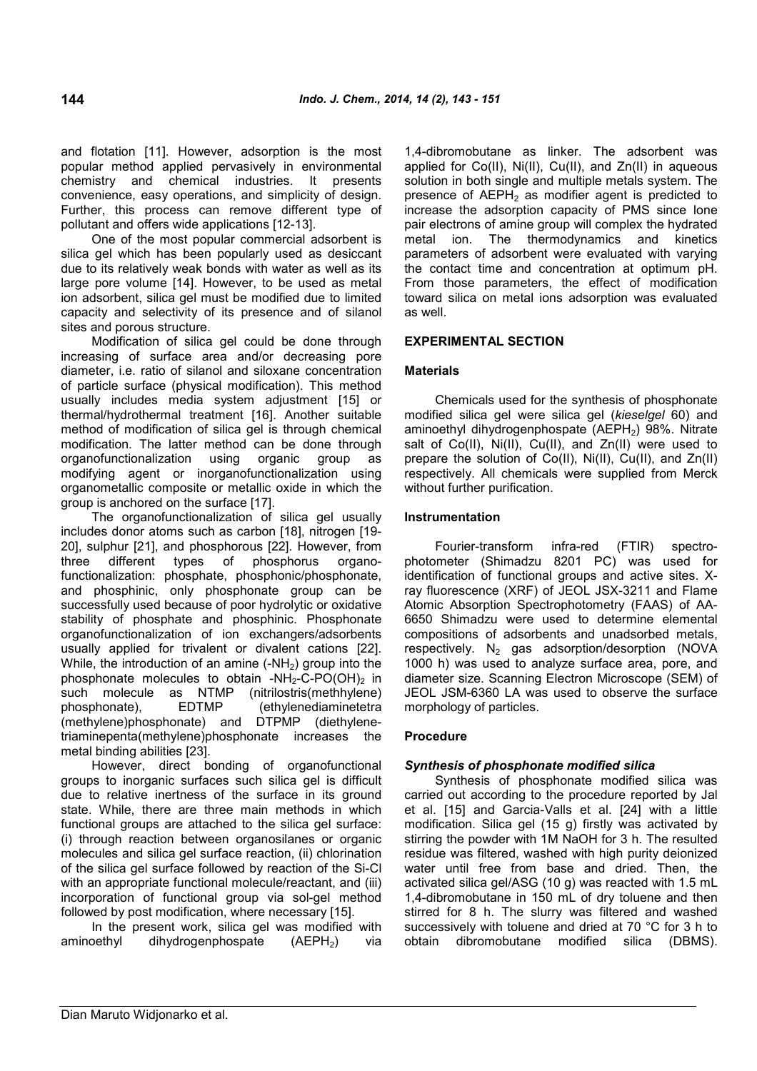and flotation [11]. However, adsorption is the most popular method applied pervasively in environmental chemistry and chemical industries. It presents convenience, easy operations, and simplicity of design. Further, this process can remove different type of pollutant and offers wide applications [12-13].

One of the most popular commercial adsorbent is metal ion. silica gel which has been popularly used as desiccant due to its relatively weak bonds with water as well as its large pore volume [14]. However, to be used as metal ion adsorbent, silica gel must be modified due to limited capacity and selectivity of its presence and of silanol sites and porous structure.

Modification of silica gel could be done through increasing of surface area and/or decreasing pore diameter, i.e. ratio of silanol and siloxane concentration of particle surface (physical modification). This method usually includes media system adjustment [15] or thermal/hydrothermal treatment [16]. Another suitable method of modification of silica gel is through chemical modification. The latter method can be done through organofunctionalization using organic group as modifying agent or inorganofunctionalization using organometallic composite or metallic oxide in which the group is anchored on the surface [17].

The organofunctionalization of silica gel usually includes donor atoms such as carbon [18], nitrogen [19- 20], sulphur [21], and phosphorous [22]. However, from three different types of phosphorus organofunctionalization: phosphate, phosphonic/phosphonate, and phosphinic, only phosphonate group can be successfully used because of poor hydrolytic or oxidative stability of phosphate and phosphinic. Phosphonate organofunctionalization of ion exchangers/adsorbents usually applied for trivalent or divalent cations [22]. While, the introduction of an amine  $(-NH<sub>2</sub>)$  group into the phosphonate molecules to obtain -NH<sub>2</sub>-C-PO(OH)<sub>2</sub> in such molecule as NTMP (nitrilostris(methhylene) phosphonate), EDTMP (ethylenediaminetetra (methylene)phosphonate) and DTPMP (diethylenetriaminepenta(methylene)phosphonate increases the metal binding abilities [23].

However, direct bonding of organofunctional groups to inorganic surfaces such silica gel is difficult due to relative inertness of the surface in its ground state. While, there are three main methods in which functional groups are attached to the silica gel surface: (i) through reaction between organosilanes or organic molecules and silica gel surface reaction, (ii) chlorination of the silica gel surface followed by reaction of the Si-Cl with an appropriate functional molecule/reactant, and (iii) incorporation of functional group via sol-gel method followed by post modification, where necessary [15].

In the present work, silica gel was modified with aminoethyl dihydrogenphospate  $(AEPH<sub>2</sub>)$  via 1,4-dibromobutane as linker. The adsorbent was applied for Co(II), Ni(II), Cu(II), and Zn(II) in aqueous solution in both single and multiple metals system. The presence of  $AEPH<sub>2</sub>$  as modifier agent is predicted to increase the adsorption capacity of PMS since lone pair electrons of amine group will complex the hydrated The thermodynamics and kinetics parameters of adsorbent were evaluated with varying the contact time and concentration at optimum pH. From those parameters, the effect of modification toward silica on metal ions adsorption was evaluated as well.

#### **EXPERIMENTAL SECTION**

#### **Materials**

Chemicals used for the synthesis of phosphonate modified silica gel were silica gel (*kieselgel* 60) and aminoethyl dihydrogenphospate (AEPH<sub>2</sub>) 98%. Nitrate salt of Co(II), Ni(II), Cu(II), and Zn(II) were used to prepare the solution of Co(II), Ni(II), Cu(II), and Zn(II) respectively. All chemicals were supplied from Merck without further purification.

### **Instrumentation**

Fourier-transform infra-red (FTIR) spectrophotometer (Shimadzu 8201 PC) was used for identification of functional groups and active sites. Xray fluorescence (XRF) of JEOL JSX-3211 and Flame Atomic Absorption Spectrophotometry (FAAS) of AA-6650 Shimadzu were used to determine elemental compositions of adsorbents and unadsorbed metals, respectively.  $N_2$  gas adsorption/desorption (NOVA 1000 h) was used to analyze surface area, pore, and diameter size. Scanning Electron Microscope (SEM) of JEOL JSM-6360 LA was used to observe the surface morphology of particles.

#### **Procedure**

## *Synthesis of phosphonate modified silica*

Synthesis of phosphonate modified silica was carried out according to the procedure reported by Jal et al. [15] and Garcia-Valls et al. [24] with a little modification. Silica gel (15 g) firstly was activated by stirring the powder with 1M NaOH for 3 h. The resulted residue was filtered, washed with high purity deionized water until free from base and dried. Then, the activated silica gel/ASG (10 g) was reacted with 1.5 mL 1,4-dibromobutane in 150 mL of dry toluene and then stirred for 8 h. The slurry was filtered and washed successively with toluene and dried at 70 °C for 3 h to obtain dibromobutane modified silica (DBMS).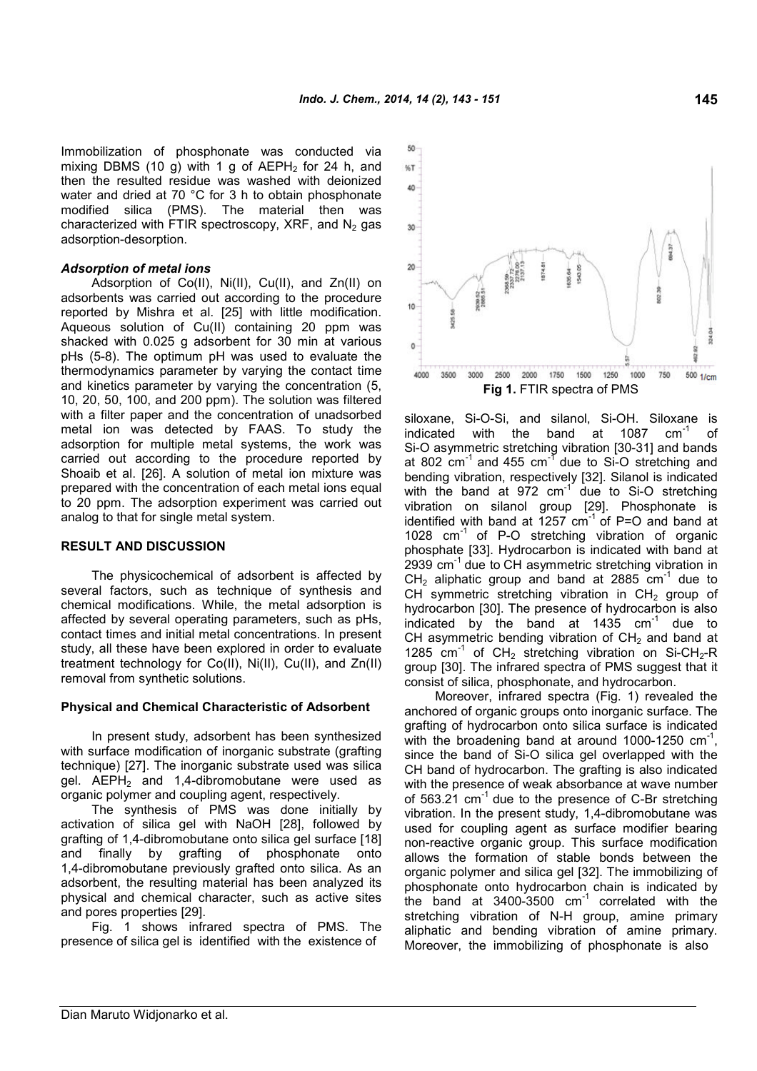Immobilization of phosphonate was conducted via mixing DBMS (10 g) with 1 g of  $AEPH<sub>2</sub>$  for 24 h, and then the resulted residue was washed with deionized water and dried at 70 °C for 3 h to obtain phosphonate modified silica (PMS). The material then was characterized with FTIR spectroscopy, XRF, and  $N_2$  gas adsorption-desorption.

#### *Adsorption of metal ions*

Adsorption of Co(II), Ni(II), Cu(II), and Zn(II) on adsorbents was carried out according to the procedure reported by Mishra et al. [25] with little modification. Aqueous solution of Cu(II) containing 20 ppm was shacked with 0.025 g adsorbent for 30 min at various pHs (5-8). The optimum pH was used to evaluate the thermodynamics parameter by varying the contact time and kinetics parameter by varying the concentration (5, 10, 20, 50, 100, and 200 ppm). The solution was filtered with a filter paper and the concentration of unadsorbed metal ion was detected by FAAS. To study the adsorption for multiple metal systems, the work was carried out according to the procedure reported by Shoaib et al. [26]. A solution of metal ion mixture was prepared with the concentration of each metal ions equal to 20 ppm. The adsorption experiment was carried out analog to that for single metal system.

#### **RESULT AND DISCUSSION**

The physicochemical of adsorbent is affected by several factors, such as technique of synthesis and chemical modifications. While, the metal adsorption is affected by several operating parameters, such as pHs, contact times and initial metal concentrations. In present study, all these have been explored in order to evaluate treatment technology for Co(II), Ni(II), Cu(II), and Zn(II) removal from synthetic solutions.

#### **Physical and Chemical Characteristic of Adsorbent**

In present study, adsorbent has been synthesized with surface modification of inorganic substrate (grafting technique) [27]. The inorganic substrate used was silica gel.  $AEPH<sub>2</sub>$  and 1,4-dibromobutane were used as organic polymer and coupling agent, respectively.

The synthesis of PMS was done initially by activation of silica gel with NaOH [28], followed by grafting of 1,4-dibromobutane onto silica gel surface [18] and finally by grafting of phosphonate onto 1,4-dibromobutane previously grafted onto silica. As an adsorbent, the resulting material has been analyzed its physical and chemical character, such as active sites and pores properties [29].

Fig. 1 shows infrared spectra of PMS. The presence of silica gel is identified with the existence of



siloxane, Si-O-Si, and silanol, Si-OH. Siloxane is indicated with the band at 1087  $cm^{-1}$  of Si-O asymmetric stretching vibration [30-31] and bands at 802  $cm^{-1}$  and 455  $cm^{-1}$  due to Si-O stretching and bending vibration, respectively [32]. Silanol is indicated with the band at  $972 \text{ cm}^{-1}$  due to Si-O stretching vibration on silanol group [29]. Phosphonate is identified with band at  $1257 \text{ cm}^{-1}$  of P=O and band at 1028  $cm^{-1}$  of P-O stretching vibration of organic phosphate [33]. Hydrocarbon is indicated with band at 2939 cm<sup>-1</sup> due to CH asymmetric stretching vibration in  $CH<sub>2</sub>$  aliphatic group and band at 2885  $cm<sup>-1</sup>$  due to CH symmetric stretching vibration in  $CH<sub>2</sub>$  group of hydrocarbon [30]. The presence of hydrocarbon is also indicated by the band at  $1435$  cm<sup>-1</sup> due to CH asymmetric bending vibration of  $CH<sub>2</sub>$  and band at 1285 cm<sup>-1</sup> of CH<sub>2</sub> stretching vibration on Si-CH<sub>2</sub>-R group [30]. The infrared spectra of PMS suggest that it consist of silica, phosphonate, and hydrocarbon.

Moreover, infrared spectra (Fig. 1) revealed the anchored of organic groups onto inorganic surface. The grafting of hydrocarbon onto silica surface is indicated with the broadening band at around 1000-1250  $cm^{-1}$ , since the band of Si-O silica gel overlapped with the CH band of hydrocarbon. The grafting is also indicated with the presence of weak absorbance at wave number of 563.21  $cm^{-1}$  due to the presence of C-Br stretching vibration. In the present study, 1,4-dibromobutane was used for coupling agent as surface modifier bearing non-reactive organic group. This surface modification allows the formation of stable bonds between the organic polymer and silica gel [32]. The immobilizing of phosphonate onto hydrocarbon chain is indicated by the band at  $3400-3500$   $cm^{-1}$  correlated with the stretching vibration of N-H group, amine primary aliphatic and bending vibration of amine primary. Moreover, the immobilizing of phosphonate is also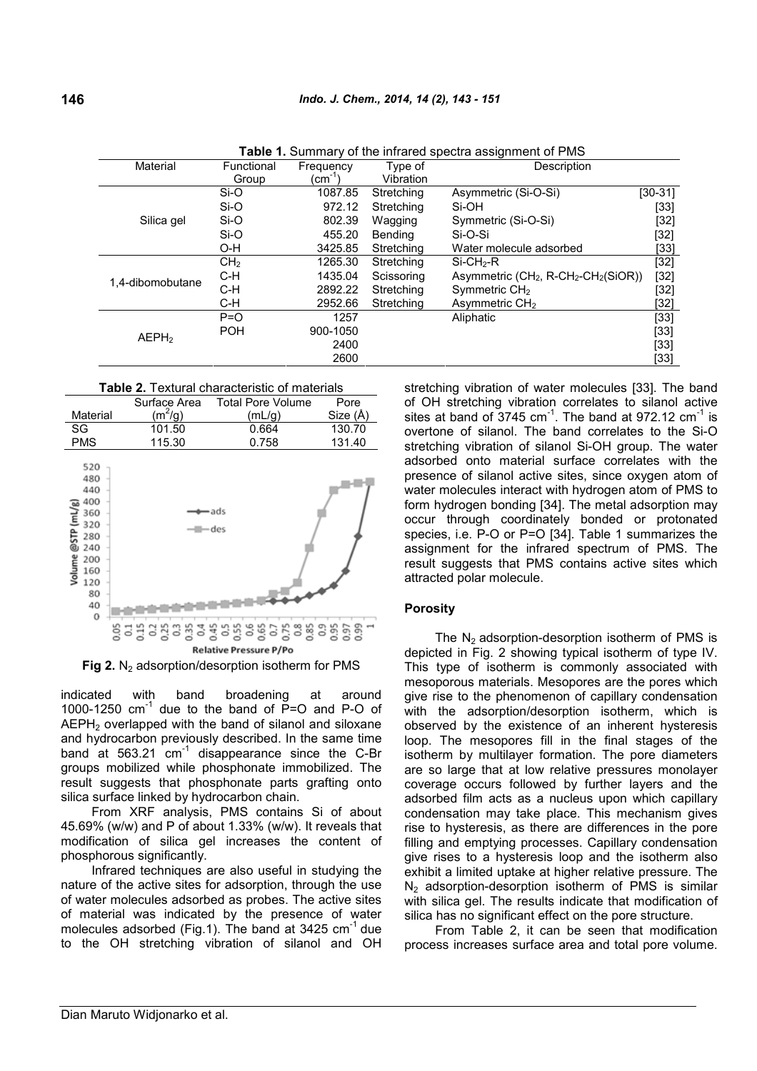| <b>able 1.</b> Summary of the imitated spectra assignment of Pivis |                 |                      |            |                                                      |           |  |
|--------------------------------------------------------------------|-----------------|----------------------|------------|------------------------------------------------------|-----------|--|
| Material<br>Functional                                             |                 | Type of<br>Frequency |            | Description                                          |           |  |
|                                                                    | Group           | (cm̃ '               | Vibration  |                                                      |           |  |
|                                                                    | $Si-O$          | 1087.85              | Stretching | Asymmetric (Si-O-Si)                                 | $[30-31]$ |  |
|                                                                    | Si-O            | 972.12               | Stretching | Si-OH                                                | $[33]$    |  |
| Silica gel                                                         | Si-O            | 802.39               | Wagging    | Symmetric (Si-O-Si)                                  | $[32]$    |  |
|                                                                    | Si-O            | 455.20               | Bending    | Si-O-Si                                              | $[32]$    |  |
|                                                                    | O-H             | 3425.85              | Stretching | Water molecule adsorbed                              | [33]      |  |
|                                                                    | CH <sub>2</sub> | 1265.30              | Stretching | $Si$ -CH <sub>2</sub> -R                             | $[32]$    |  |
| 1,4-dibomobutane                                                   | $C-H$           | 1435.04              | Scissoring | Asymmetric $(CH_2, R\text{-}CH_2\text{-}CH_2(SiOR))$ | $[32]$    |  |
|                                                                    | C-H             | 2892.22              | Stretching | Symmetric $CH2$                                      | $[32]$    |  |
|                                                                    | C-H             | 2952.66              | Stretching | Asymmetric CH <sub>2</sub>                           | [32]      |  |
|                                                                    | $P = O$         | 1257                 |            | Aliphatic                                            | [33]      |  |
| AEPH <sub>2</sub>                                                  | <b>POH</b>      | 900-1050             |            |                                                      | $[33]$    |  |
|                                                                    |                 | 2400                 |            |                                                      | $[33]$    |  |
|                                                                    |                 | 2600                 |            |                                                      | [33]      |  |

**Table 1.** Summary of the infrared spectra assignment of PMS

**Table 2.** Textural characteristic of materials



**Fig 2.** N<sub>2</sub> adsorption/desorption isotherm for PMS

indicated with band broadening at around 1000-1250  $cm^{-1}$  due to the band of P=O and P-O of AEPH<sub>2</sub> overlapped with the band of silanol and siloxane and hydrocarbon previously described. In the same time band at  $563.21$  cm<sup>-1</sup> disappearance since the C-Br groups mobilized while phosphonate immobilized. The result suggests that phosphonate parts grafting onto silica surface linked by hydrocarbon chain.

From XRF analysis, PMS contains Si of about 45.69% (w/w) and P of about 1.33% (w/w). It reveals that modification of silica gel increases the content of phosphorous significantly.

Infrared techniques are also useful in studying the nature of the active sites for adsorption, through the use of water molecules adsorbed as probes. The active sites of material was indicated by the presence of water molecules adsorbed (Fig.1). The band at 3425 cm<sup>-1</sup> due to the OH stretching vibration of silanol and OH stretching vibration of water molecules [33]. The band of OH stretching vibration correlates to silanol active sites at band of 3745  $cm^{-1}$ . The band at 972.12  $cm^{-1}$  is overtone of silanol. The band correlates to the Si-O stretching vibration of silanol Si-OH group. The water adsorbed onto material surface correlates with the presence of silanol active sites, since oxygen atom of water molecules interact with hydrogen atom of PMS to form hydrogen bonding [34]. The metal adsorption may occur through coordinately bonded or protonated species, i.e. P-O or P=O [34]. Table 1 summarizes the assignment for the infrared spectrum of PMS. The result suggests that PMS contains active sites which attracted polar molecule.

#### **Porosity**

The  $N<sub>2</sub>$  adsorption-desorption isotherm of PMS is depicted in Fig. 2 showing typical isotherm of type IV. This type of isotherm is commonly associated with mesoporous materials. Mesopores are the pores which give rise to the phenomenon of capillary condensation with the adsorption/desorption isotherm, which is observed by the existence of an inherent hysteresis loop. The mesopores fill in the final stages of the isotherm by multilayer formation. The pore diameters are so large that at low relative pressures monolayer coverage occurs followed by further layers and the adsorbed film acts as a nucleus upon which capillary condensation may take place. This mechanism gives rise to hysteresis, as there are differences in the pore filling and emptying processes. Capillary condensation give rises to a hysteresis loop and the isotherm also exhibit a limited uptake at higher relative pressure. The  $N<sub>2</sub>$  adsorption-desorption isotherm of PMS is similar with silica gel. The results indicate that modification of silica has no significant effect on the pore structure.

From Table 2, it can be seen that modification process increases surface area and total pore volume.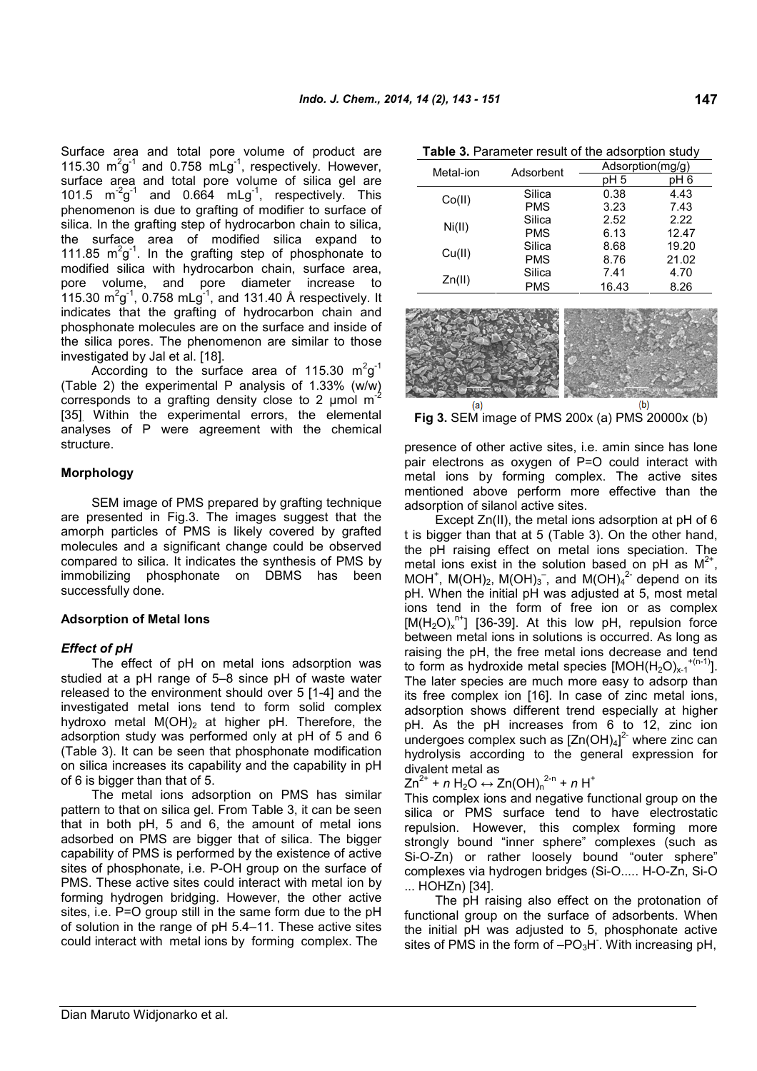Surface area and total pore volume of product are 115.30  $m^2g^{-1}$  and 0.758  $mLg^{-1}$ , respectively. However, surface area and total pore volume of silica gel are 101.5  $m^{-2}g^{-1}$ and 0.664 mLg<sup>-1</sup>, respectively. This phenomenon is due to grafting of modifier to surface of silica. In the grafting step of hydrocarbon chain to silica the surface area of modified silica expand to 111.85  $m^2g^{-1}$ . In the grafting step of phosphonate to modified silica with hydrocarbon chain, surface area, pore volume, and pore diameter increase to 115.30  $\text{m}^2\text{g}^{\text{-}1}$ , 0.758  $\text{m} \text{L}\text{g}^{\text{-}1}$ , and 131.40 Å respectively. It indicates that the grafting of hydrocarbon chain and phosphonate molecules are on the surface and inside of the silica pores. The phenomenon are similar to those investigated by Jal et al. [18].

According to the surface area of 115.30  $m^2g^{-1}$ (Table 2) the experimental P analysis of 1.33% (w/w) corresponds to a grafting density close to 2  $\mu$ mol m<sup>2</sup> [35]. Within the experimental errors, the elemental analyses of P were agreement with the chemical structure.

### **Morphology**

SEM image of PMS prepared by grafting technique are presented in Fig.3. The images suggest that the amorph particles of PMS is likely covered by grafted molecules and a significant change could be observed compared to silica. It indicates the synthesis of PMS by immobilizing phosphonate on DBMS has been successfully done.

#### **Adsorption of Metal Ions**

#### *Effect of pH*

The effect of pH on metal ions adsorption was studied at a pH range of 5–8 since pH of waste water released to the environment should over 5 [1-4] and the investigated metal ions tend to form solid complex hydroxo metal  $M(OH)_2$  at higher pH. Therefore, the adsorption study was performed only at pH of 5 and 6 (Table 3). It can be seen that phosphonate modification on silica increases its capability and the capability in pH of 6 is bigger than that of 5.

The metal ions adsorption on PMS has similar pattern to that on silica gel. From Table 3, it can be seen that in both pH, 5 and 6, the amount of metal ions adsorbed on PMS are bigger that of silica. The bigger capability of PMS is performed by the existence of active sites of phosphonate, i.e. P-OH group on the surface of PMS. These active sites could interact with metal ion by forming hydrogen bridging. However, the other active sites, i.e. P=O group still in the same form due to the pH of solution in the range of pH 5.4–11. These active sites could interact with metal ions by forming complex. The

| 3 |        | Silica     | 0.38  | 4.43  |
|---|--------|------------|-------|-------|
| f | Co(II) | <b>PMS</b> | 3.23  | 7.43  |
|   |        | Silica     | 2.52  | 2.22  |
|   | Ni(II) | <b>PMS</b> | 6.13  | 12.47 |
|   |        | Silica     | 8.68  | 19.20 |
|   | Cu(II) | <b>PMS</b> | 8.76  | 21.02 |
|   |        | Silica     | 7.41  | 4.70  |
|   | Zn(II) | <b>PMS</b> | 16.43 | 8.26  |
|   |        |            |       |       |



**Table 3.** Parameter result of the adsorption study

Metal-ion Adsorbent  $\frac{\text{Adsorption}(mg/g)}{pH 5}$  pH 6

**Fig 3.** SEM image of PMS 200x (a) PMS 20000x (b)

presence of other active sites, i.e. amin since has lone pair electrons as oxygen of P=O could interact with metal ions by forming complex. The active sites mentioned above perform more effective than the adsorption of silanol active sites.

Except Zn(II), the metal ions adsorption at pH of 6 t is bigger than that at 5 (Table 3). On the other hand, the pH raising effect on metal ions speciation. The metal ions exist in the solution based on pH as  $M^{2+}$ , MOH<sup>+</sup>, M(OH)<sub>2</sub>, M(OH)<sub>3</sub><sup>-</sup>, and M(OH)<sub>4</sub><sup>2-</sup> depend on its pH. When the initial pH was adjusted at 5, most metal ions tend in the form of free ion or as complex  $[M(H<sub>2</sub>O)<sub>x</sub><sup>n+</sup>]$  [36-39]. At this low pH, repulsion force between metal ions in solutions is occurred. As long as raising the pH, the free metal ions decrease and tend to form as hydroxide metal species  $[MOH(H<sub>2</sub>O)<sub>x-1</sub>^{+(n-1)}].$ The later species are much more easy to adsorp than its free complex ion [16]. In case of zinc metal ions, adsorption shows different trend especially at higher pH. As the pH increases from 6 to 12, zinc ion undergoes complex such as [Zn(OH)<sub>4</sub>]<sup>2</sup> where zinc can hydrolysis according to the general expression for divalent metal as

 $Zn^{2+} + n H_2O \leftrightarrow Zn(OH)_{n}^{2-n} + n H^+$ 

This complex ions and negative functional group on the silica or PMS surface tend to have electrostatic repulsion. However, this complex forming more strongly bound "inner sphere" complexes (such as Si-O-Zn) or rather loosely bound "outer sphere" complexes via hydrogen bridges (Si-O..... H-O-Zn, Si-O ... HOHZn) [34].

The pH raising also effect on the protonation of functional group on the surface of adsorbents. When the initial pH was adjusted to 5, phosphonate active sites of PMS in the form of  $-PO<sub>3</sub>H$ . With increasing pH,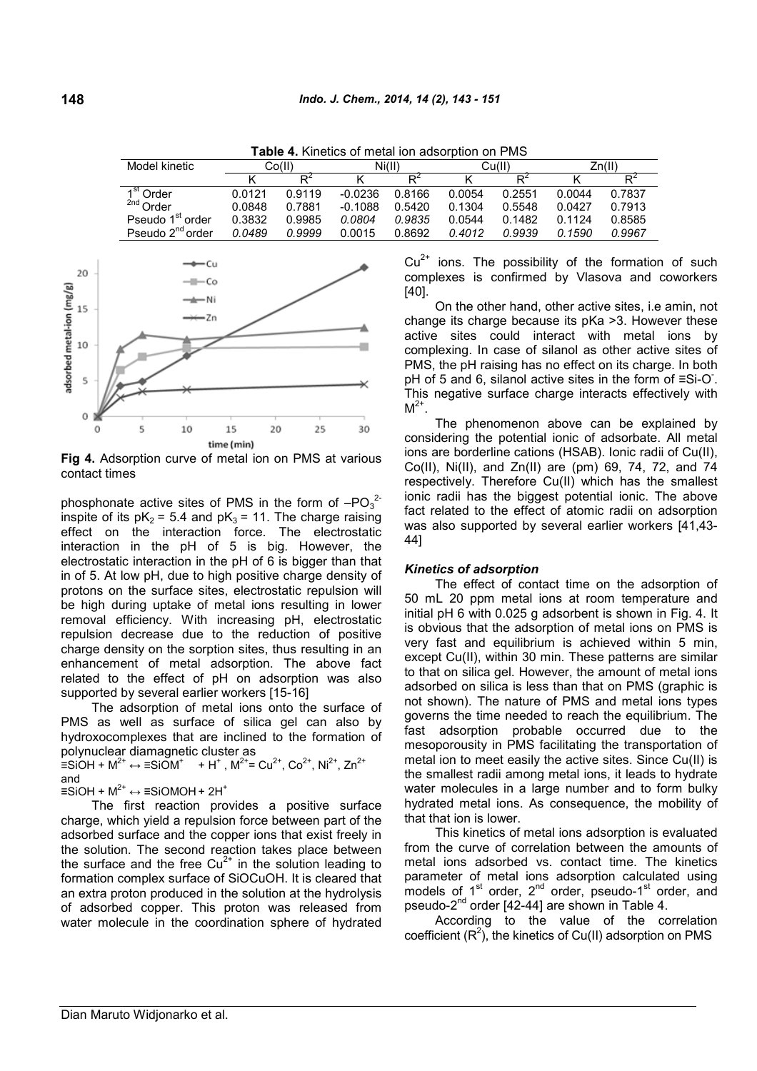| Model kinetic                   |        | Co(II) |           | Ni(II)         |        | Cu(II)         |        | Zn(II) |
|---------------------------------|--------|--------|-----------|----------------|--------|----------------|--------|--------|
|                                 |        | ₽      |           | D <sup>∠</sup> |        | D <sup>Ζ</sup> |        |        |
| 1 <sup>st</sup> Order           | 0.0121 | 0.9119 | $-0.0236$ | 0.8166         | 0.0054 | 0.2551         | 0.0044 | 0.7837 |
| <sup>2nd</sup> Order            | 0.0848 | 0.7881 | $-0.1088$ | 0.5420         | 0.1304 | 0.5548         | 0.0427 | 0.7913 |
| Pseudo 1 <sup>st</sup><br>order | 0.3832 | 0.9985 | 0.0804    | 0.9835         | 0.0544 | 0.1482         | 0 1124 | 0.8585 |
| Pseudo 2 <sup>nd</sup> order    | 0.0489 | 0.9999 | 0.0015    | 0.8692         | 0.4012 | 0.9939         | 0.1590 | 0.9967 |

**Table 4.** Kinetics of metal ion adsorption on PMS



**Fig 4.** Adsorption curve of metal ion on PMS at various contact times

phosphonate active sites of PMS in the form of  $-PO_3^2$ inspite of its  $pK_2 = 5.4$  and  $pK_3 = 11$ . The charge raising effect on the interaction force. The electrostatic interaction in the pH of 5 is big. However, the electrostatic interaction in the pH of 6 is bigger than that in of 5. At low pH, due to high positive charge density of protons on the surface sites, electrostatic repulsion will be high during uptake of metal ions resulting in lower removal efficiency. With increasing pH, electrostatic repulsion decrease due to the reduction of positive charge density on the sorption sites, thus resulting in an enhancement of metal adsorption. The above fact related to the effect of pH on adsorption was also supported by several earlier workers [15-16]

The adsorption of metal ions onto the surface of PMS as well as surface of silica gel can also by hydroxocomplexes that are inclined to the formation of polynuclear diamagnetic cluster as

 $\equiv$ SiOH + M<sup>2+</sup> ↔  $\equiv$ SiOM<sup>+</sup> + H<sup>+</sup>, M<sup>2+</sup> = Cu<sup>2+</sup>, Co<sup>2+</sup>, Ni<sup>2+</sup>, Zn<sup>2+</sup> and

≡SiOH +  $M^{2+}$  ↔ ≡SiOMOH + 2H<sup>+</sup>

The first reaction provides a positive surface charge, which yield a repulsion force between part of the adsorbed surface and the copper ions that exist freely in the solution. The second reaction takes place between the surface and the free  $Cu^{2+}$  in the solution leading to formation complex surface of SiOCuOH. It is cleared that an extra proton produced in the solution at the hydrolysis of adsorbed copper. This proton was released from water molecule in the coordination sphere of hydrated  $Cu<sup>2+</sup>$  ions. The possibility of the formation of such complexes is confirmed by Vlasova and coworkers [40].

On the other hand, other active sites, i.e amin, not change its charge because its pKa >3. However these active sites could interact with metal ions by complexing. In case of silanol as other active sites of PMS, the pH raising has no effect on its charge. In both pH of 5 and 6, silanol active sites in the form of ≡Si-O. This negative surface charge interacts effectively with  $M^{2+}$ .

The phenomenon above can be explained by considering the potential ionic of adsorbate. All metal ions are borderline cations (HSAB). Ionic radii of Cu(II), Co(II), Ni(II), and Zn(II) are (pm) 69, 74, 72, and 74 respectively. Therefore Cu(II) which has the smallest ionic radii has the biggest potential ionic. The above fact related to the effect of atomic radii on adsorption was also supported by several earlier workers [41,43- 44]

#### *Kinetics of adsorption*

The effect of contact time on the adsorption of 50 mL 20 ppm metal ions at room temperature and initial pH 6 with 0.025 g adsorbent is shown in Fig. 4. It is obvious that the adsorption of metal ions on PMS is very fast and equilibrium is achieved within 5 min, except Cu(II), within 30 min. These patterns are similar to that on silica gel. However, the amount of metal ions adsorbed on silica is less than that on PMS (graphic is not shown). The nature of PMS and metal ions types governs the time needed to reach the equilibrium. The fast adsorption probable occurred due to the mesoporousity in PMS facilitating the transportation of metal ion to meet easily the active sites. Since Cu(II) is the smallest radii among metal ions, it leads to hydrate water molecules in a large number and to form bulky hydrated metal ions. As consequence, the mobility of that that ion is lower.

This kinetics of metal ions adsorption is evaluated from the curve of correlation between the amounts of metal ions adsorbed vs. contact time. The kinetics parameter of metal ions adsorption calculated using models of 1<sup>st</sup> order, 2<sup>nd</sup> order, pseudo-1<sup>st</sup> order, and pseudo-2nd order [42-44] are shown in Table 4.

According to the value of the correlation coefficient  $(R^2)$ , the kinetics of Cu(II) adsorption on PMS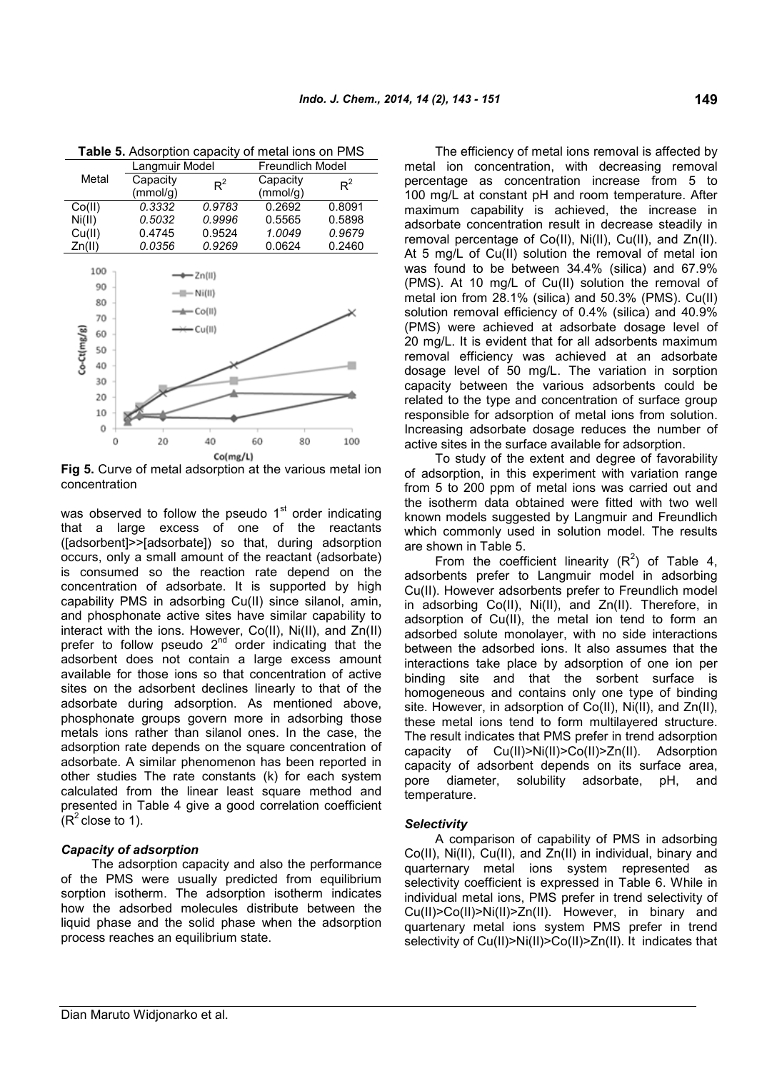|             |     | Langmuir Model |                         | <b>Freundlich Model</b> |        |  |
|-------------|-----|----------------|-------------------------|-------------------------|--------|--|
| Metal       |     | Capacity       | $R^2$                   | Capacity                | $R^2$  |  |
|             |     | (mmol/g)       |                         | (mmol/g)                |        |  |
| Co(II)      |     | 0.3332         | 0.9783                  | 0.2692                  | 0.8091 |  |
| Ni(II)      |     | 0.5032         | 0.9996                  | 0.5565                  | 0.5898 |  |
| Cu(II)      |     | 0.4745         | 0.9524                  | 1.0049                  | 0.9679 |  |
| Zn(II)      |     | 0.0356         | 0.9269                  | 0.0624                  | 0.2460 |  |
|             |     |                |                         |                         |        |  |
|             | 100 |                | $=$ Zn(II)              |                         |        |  |
|             | 90  |                | - Ni(II)                |                         |        |  |
|             | 80  |                |                         |                         |        |  |
|             | 70  |                | $\longleftarrow$ Co(II) |                         |        |  |
|             | 60  |                | = Cu(II)                |                         |        |  |
| Co-Ct(mg/g) | 50  |                |                         |                         |        |  |
|             |     |                |                         |                         |        |  |
|             | 40  |                |                         |                         |        |  |
|             | 30  |                |                         |                         |        |  |
|             | 20  |                |                         |                         |        |  |
|             | 10  |                |                         |                         |        |  |
|             | 0   |                |                         |                         |        |  |

**Table 5.** Adsorption capacity of metal ions on PMS

**Fig 5.** Curve of metal adsorption at the various metal ion concentration

 $Co(mg/L)$ 

60

80

100

40

was observed to follow the pseudo 1<sup>st</sup> order indicating that a large excess of one of the reactants ([adsorbent]>>[adsorbate]) so that, during adsorption occurs, only a small amount of the reactant (adsorbate) is consumed so the reaction rate depend on the concentration of adsorbate. It is supported by high capability PMS in adsorbing Cu(II) since silanol, amin, and phosphonate active sites have similar capability to interact with the ions. However, Co(II), Ni(II), and Zn(II) prefer to follow pseudo  $2<sup>nd</sup>$  order indicating that the adsorbent does not contain a large excess amount available for those ions so that concentration of active sites on the adsorbent declines linearly to that of the adsorbate during adsorption. As mentioned above, phosphonate groups govern more in adsorbing those metals ions rather than silanol ones. In the case, the adsorption rate depends on the square concentration of adsorbate. A similar phenomenon has been reported in other studies The rate constants (k) for each system calculated from the linear least square method and presented in Table 4 give a good correlation coefficient  $(R^2$  close to 1).

## *Capacity of adsorption*

 $\theta$ 

20

The adsorption capacity and also the performance of the PMS were usually predicted from equilibrium sorption isotherm. The adsorption isotherm indicates how the adsorbed molecules distribute between the liquid phase and the solid phase when the adsorption process reaches an equilibrium state.

The efficiency of metal ions removal is affected by metal ion concentration, with decreasing removal percentage as concentration increase from 5 to 100 mg/L at constant pH and room temperature. After maximum capability is achieved, the increase in adsorbate concentration result in decrease steadily in removal percentage of Co(II), Ni(II), Cu(II), and Zn(II). At 5 mg/L of Cu(II) solution the removal of metal ion was found to be between 34.4% (silica) and 67.9% (PMS). At 10 mg/L of Cu(II) solution the removal of metal ion from 28.1% (silica) and 50.3% (PMS). Cu(II) solution removal efficiency of 0.4% (silica) and 40.9% (PMS) were achieved at adsorbate dosage level of 20 mg/L. It is evident that for all adsorbents maximum removal efficiency was achieved at an adsorbate dosage level of 50 mg/L. The variation in sorption capacity between the various adsorbents could be related to the type and concentration of surface group responsible for adsorption of metal ions from solution. Increasing adsorbate dosage reduces the number of active sites in the surface available for adsorption.

To study of the extent and degree of favorability of adsorption, in this experiment with variation range from 5 to 200 ppm of metal ions was carried out and the isotherm data obtained were fitted with two well known models suggested by Langmuir and Freundlich which commonly used in solution model. The results are shown in Table 5.

From the coefficient linearity  $(R^2)$  of Table 4, adsorbents prefer to Langmuir model in adsorbing Cu(II). However adsorbents prefer to Freundlich model in adsorbing Co(II), Ni(II), and Zn(II). Therefore, in adsorption of Cu(II), the metal ion tend to form an adsorbed solute monolayer, with no side interactions between the adsorbed ions. It also assumes that the interactions take place by adsorption of one ion per binding site and that the sorbent surface is homogeneous and contains only one type of binding site. However, in adsorption of Co(II), Ni(II), and Zn(II), these metal ions tend to form multilayered structure. The result indicates that PMS prefer in trend adsorption capacity of Cu(II)>Ni(II)>Co(II)>Zn(II). Adsorption capacity of adsorbent depends on its surface area, pore diameter, solubility adsorbate, pH, and temperature.

#### *Selectivity*

A comparison of capability of PMS in adsorbing Co(II), Ni(II), Cu(II), and Zn(II) in individual, binary and quarternary metal ions system represented as selectivity coefficient is expressed in Table 6. While in individual metal ions, PMS prefer in trend selectivity of Cu(II)>Co(II)>Ni(II)>Zn(II). However, in binary and quartenary metal ions system PMS prefer in trend selectivity of Cu(II)>Ni(II)>Co(II)>Zn(II). It indicates that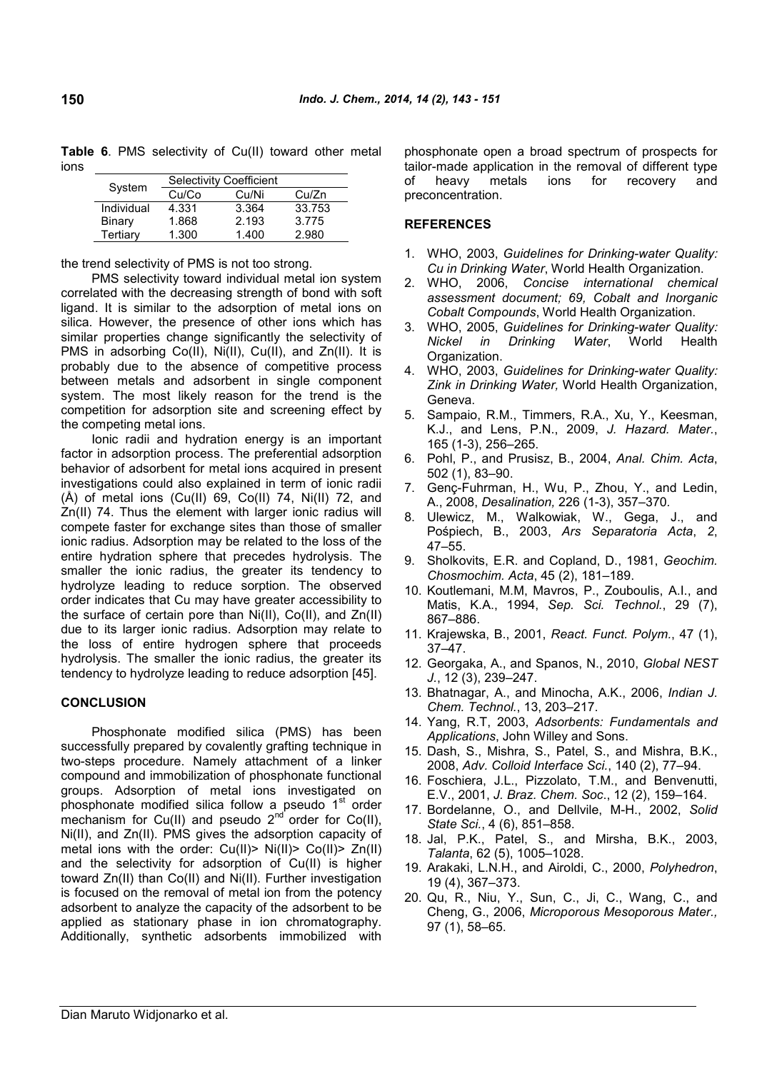**Table 6**. PMS selectivity of Cu(II) toward other metal

| System     | Selectivity Coefficient |       |        |  |  |  |
|------------|-------------------------|-------|--------|--|--|--|
|            | Cu/Co                   | Cu/Ni | Cu/Zn  |  |  |  |
| Individual | 4.331                   | 3.364 | 33.753 |  |  |  |
| Binary     | 1.868                   | 2.193 | 3.775  |  |  |  |
| Tertiarv   | 1.300                   | 1.400 | 2.980  |  |  |  |

the trend selectivity of PMS is not too strong.

PMS selectivity toward individual metal ion system correlated with the decreasing strength of bond with soft ligand. It is similar to the adsorption of metal ions on silica. However, the presence of other ions which has similar properties change significantly the selectivity of PMS in adsorbing Co(II), Ni(II), Cu(II), and Zn(II). It is probably due to the absence of competitive process between metals and adsorbent in single component system. The most likely reason for the trend is the competition for adsorption site and screening effect by the competing metal ions.

Ionic radii and hydration energy is an important factor in adsorption process. The preferential adsorption behavior of adsorbent for metal ions acquired in present investigations could also explained in term of ionic radii  $(A)$  of metal ions  $(Cu(II) 69, Co(II) 74, Ni(II) 72, and$ Zn(II) 74. Thus the element with larger ionic radius will compete faster for exchange sites than those of smaller ionic radius. Adsorption may be related to the loss of the entire hydration sphere that precedes hydrolysis. The smaller the ionic radius, the greater its tendency to hydrolyze leading to reduce sorption. The observed order indicates that Cu may have greater accessibility to the surface of certain pore than Ni(II), Co(II), and Zn(II) due to its larger ionic radius. Adsorption may relate to the loss of entire hydrogen sphere that proceeds hydrolysis. The smaller the ionic radius, the greater its tendency to hydrolyze leading to reduce adsorption [45].

## **CONCLUSION**

Phosphonate modified silica (PMS) has been successfully prepared by covalently grafting technique in two-steps procedure. Namely attachment of a linker compound and immobilization of phosphonate functional groups. Adsorption of metal ions investigated on phosphonate modified silica follow a pseudo 1<sup>st</sup> order mechanism for Cu(II) and pseudo  $2<sup>nd</sup>$  order for Co(II), Ni(II), and Zn(II). PMS gives the adsorption capacity of metal ions with the order: Cu(II)> Ni(II)> Co(II)> Zn(II) and the selectivity for adsorption of Cu(II) is higher toward Zn(II) than Co(II) and Ni(II). Further investigation is focused on the removal of metal ion from the potency adsorbent to analyze the capacity of the adsorbent to be applied as stationary phase in ion chromatography. Additionally, synthetic adsorbents immobilized with phosphonate open a broad spectrum of prospects for tailor-made application in the removal of different type of heavy metals ions for recovery and preconcentration.

#### **REFERENCES**

- 1. WHO, 2003, *Guidelines for Drinking-water Quality: Cu in Drinking Water*, World Health Organization.
- 2. WHO, 2006, *Concise international chemical assessment document; 69, Cobalt and Inorganic Cobalt Compounds*, World Health Organization.
- 3. WHO, 2005, *Guidelines for Drinking-water Quality: Nickel in Drinking Water*, World Health Organization.
- 4. WHO, 2003, *Guidelines for Drinking-water Quality: Zink in Drinking Water,* World Health Organization, Geneva.
- 5. Sampaio, R.M., Timmers, R.A., Xu, Y., Keesman, K.J., and Lens, P.N., 2009, *J. Hazard. Mater.*, 165 (1-3), 256–265.
- 6. Pohl, P., and Prusisz, B., 2004, *Anal. Chim. Acta*, 502 (1), 83–90.
- 7. Genç-Fuhrman, H., Wu, P., Zhou, Y., and Ledin, A., 2008, *Desalination,* 226 (1-3), 357–370*.*
- 8. Ulewicz, M., Walkowiak, W., Gega, J., and Pośpiech, B., 2003, *Ars Separatoria Acta*, *2*, 47–55.
- 9. Sholkovits, E.R. and Copland, D., 1981, *Geochim. Chosmochim. Acta*, 45 (2), 181–189.
- 10. Koutlemani, M.M, Mavros, P., Zouboulis, A.I., and Matis, K.A., 1994, *Sep. Sci. Technol.*, 29 (7), 867–886.
- 11. Krajewska, B., 2001, *React. Funct. Polym.*, 47 (1), 37–47.
- 12. Georgaka, A., and Spanos, N., 2010, *Global NEST J.*, 12 (3), 239–247.
- 13. Bhatnagar, A., and Minocha, A.K., 2006, *Indian J. Chem. Technol.*, 13, 203–217.
- 14. Yang, R.T, 2003, *Adsorbents: Fundamentals and Applications*, John Willey and Sons.
- 15. Dash, S., Mishra, S., Patel, S., and Mishra, B.K., 2008, *Adv. Colloid Interface Sci.*, 140 (2), 77–94.
- 16. Foschiera, J.L., Pizzolato, T.M., and Benvenutti, E.V., 2001, *J. Braz. Chem. Soc*., 12 (2), 159–164.
- 17. Bordelanne, O., and Dellvile, M-H., 2002, *Solid State Sci.*, 4 (6), 851–858.
- 18. Jal, P.K., Patel, S., and Mirsha, B.K., 2003, *Talanta*, 62 (5), 1005–1028.
- 19. Arakaki, L.N.H., and Airoldi, C., 2000, *Polyhedron*, 19 (4), 367–373.
- 20. Qu, R., Niu, Y., Sun, C., Ji, C., Wang, C., and Cheng, G., 2006, *Microporous Mesoporous Mater.,* 97 (1), 58–65.

ions